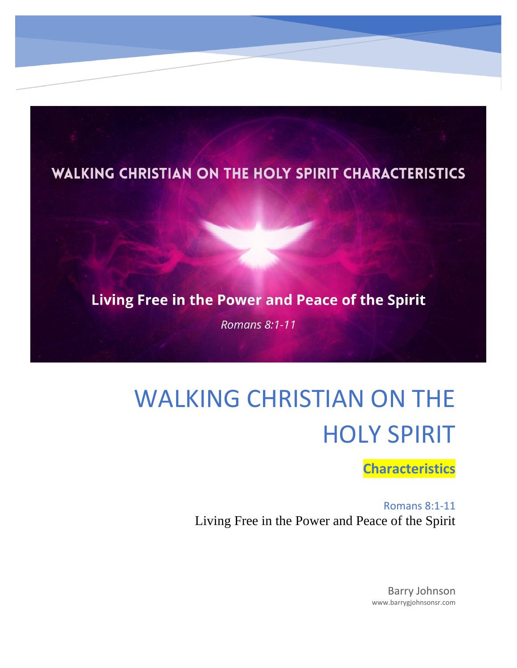

#### Living Free in the Power and Peace of the Spirit

**Romans 8:1-11** 

# WALKING CHRISTIAN ON THE HOLY SPIRIT

**Characteristics**

Romans 8:1-11 Living Free in the Power and Peace of the Spirit

> Barry Johnson www.barrygjohnsonsr.com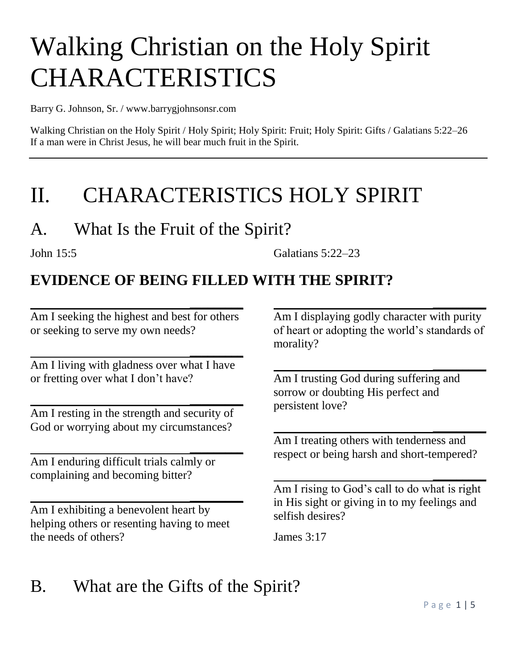# Walking Christian on the Holy Spirit **CHARACTERISTICS**

Barry G. Johnson, Sr. / www.barrygjohnsonsr.com

Walking Christian on the Holy Spirit / Holy Spirit; Holy Spirit: Fruit; Holy Spirit: Gifts / Galatians 5:22–26 If a man were in Christ Jesus, he will bear much fruit in the Spirit.

## II. CHARACTERISTICS HOLY SPIRIT

### A. What Is the Fruit of the Spirit?

John 15:5 Galatians 5:22–23

#### **EVIDENCE OF BEING FILLED WITH THE SPIRIT?**

Am I seeking the highest and best for others or seeking to serve my own needs?

 **\_\_\_\_\_\_\_\_\_**

 **\_\_\_\_\_\_\_\_\_**

Am I living with gladness over what I have or fretting over what I don't have?

 **\_\_\_\_\_\_\_\_\_** Am I resting in the strength and security of God or worrying about my circumstances?

 **\_\_\_\_\_\_\_\_\_** Am I enduring difficult trials calmly or complaining and becoming bitter?

Am I exhibiting a benevolent heart by helping others or resenting having to meet the needs of others?

 **\_\_\_\_\_\_\_\_\_**

Am I displaying godly character with purity of heart or adopting the world's standards of morality?

 **\_\_\_\_\_\_\_\_\_**

 **\_\_\_\_\_\_\_\_\_**

Am I trusting God during suffering and sorrow or doubting His perfect and persistent love?

Am I treating others with tenderness and respect or being harsh and short-tempered?

 **\_\_\_\_\_\_\_\_\_**

Am I rising to God's call to do what is right in His sight or giving in to my feelings and selfish desires?

 **\_\_\_\_\_\_\_\_\_**

James 3:17

### B. What are the Gifts of the Spirit?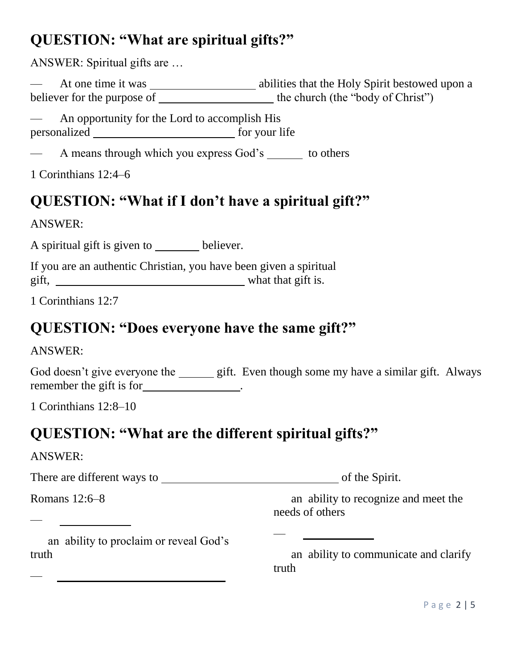#### **QUESTION: "What are spiritual gifts?"**

ANSWER: Spiritual gifts are …

— At one time it was abilities that the Holy Spirit bestowed upon a believer for the purpose of the church (the "body of Christ")

— An opportunity for the Lord to accomplish His personalized for your life

— A means through which you express God's to others

1 Corinthians 12:4–6

#### **QUESTION: "What if I don't have a spiritual gift?"**

ANSWER:

A spiritual gift is given to believer.

If you are an authentic Christian, you have been given a spiritual gift, what that gift is.

1 Corinthians 12:7

#### **QUESTION: "Does everyone have the same gift?"**

ANSWER:

God doesn't give everyone the gift. Even though some my have a similar gift. Always remember the gift is for \_\_\_\_\_\_\_\_\_\_\_\_\_\_.

—

1 Corinthians 12:8–10

#### **QUESTION: "What are the different spiritual gifts?"**

ANSWER:

—

—

There are different ways to of the Spirit.

Romans 12:6–8

 an ability to recognize and meet the needs of others

<u> 1990 - Johann Barbara, martin a</u>

 an ability to proclaim or reveal God's truth

 an ability to communicate and clarify truth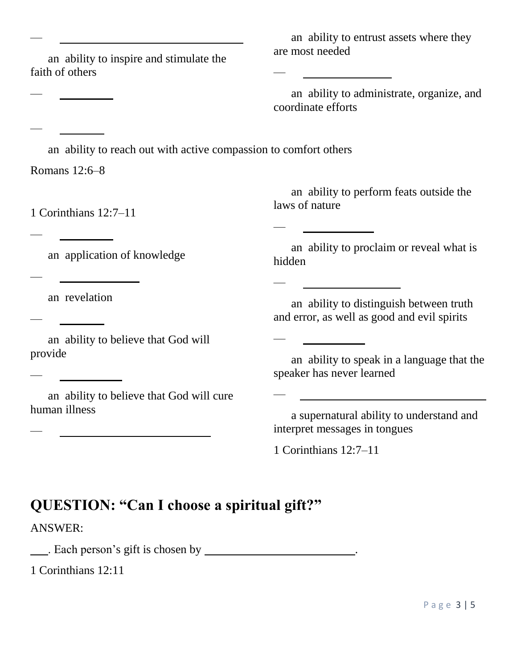an ability to inspire and stimulate the faith of others

 an ability to entrust assets where they are most needed

—

—

—

—

—

 an ability to administrate, organize, and coordinate efforts

an ability to reach out with active compassion to comfort others

Romans 12:6–8

—

—

—

—

—

—

—

—

1 Corinthians 12:7–11

 an ability to perform feats outside the laws of nature

an application of knowledge

 an ability to proclaim or reveal what is hidden

an revelation

 an ability to believe that God will provide

 an ability to believe that God will cure human illness

 an ability to distinguish between truth and error, as well as good and evil spirits

 an ability to speak in a language that the speaker has never learned

 a supernatural ability to understand and interpret messages in tongues

1 Corinthians 12:7–11

#### **QUESTION: "Can I choose a spiritual gift?"**

ANSWER:

Let us a set of the set of the set of the set of the set of the set of the set of the set of the set of the set of the set of the set of the set of the set of the set of the set of the set of the set of the set of the set

1 Corinthians 12:11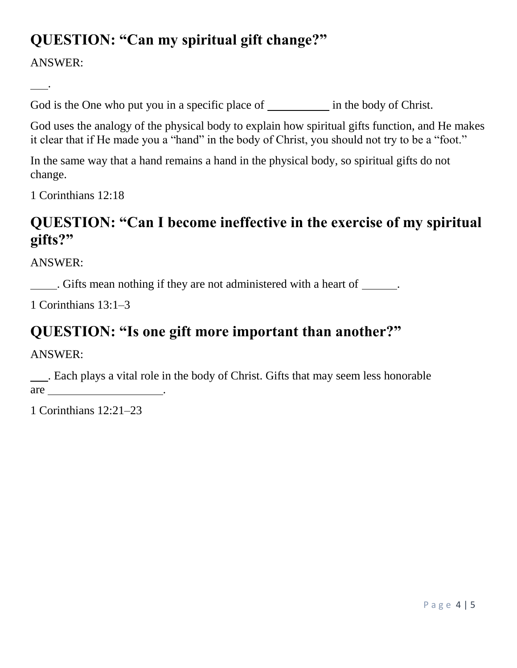#### **QUESTION: "Can my spiritual gift change?"**

ANSWER:

.

God is the One who put you in a specific place of in the body of Christ.

God uses the analogy of the physical body to explain how spiritual gifts function, and He makes it clear that if He made you a "hand" in the body of Christ, you should not try to be a "foot."

In the same way that a hand remains a hand in the physical body, so spiritual gifts do not change.

1 Corinthians 12:18

#### **QUESTION: "Can I become ineffective in the exercise of my spiritual gifts?"**

ANSWER:

. Gifts mean nothing if they are not administered with a heart of .

1 Corinthians 13:1–3

#### **QUESTION: "Is one gift more important than another?"**

ANSWER:

 . Each plays a vital role in the body of Christ. Gifts that may seem less honorable are  $\overline{a}$ 

1 Corinthians 12:21–23